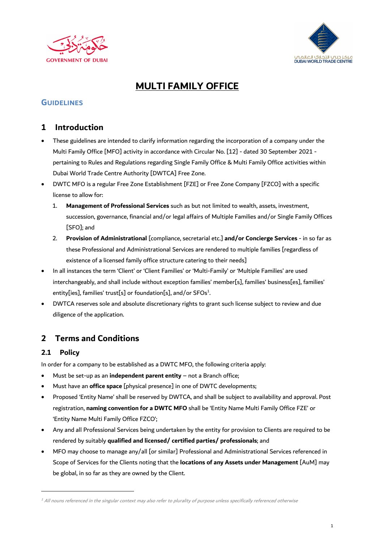



# **MULTI FAMILY OFFICE**

## **GUIDELINES**

## **1 Introduction**

- These guidelines are intended to clarify information regarding the incorporation of a company under the Multi Family Office [MFO] activity in accordance with Circular No. [12] - dated 30 September 2021 pertaining to Rules and Regulations regarding Single Family Office & Multi Family Office activities within Dubai World Trade Centre Authority [DWTCA] Free Zone.
- DWTC MFO is a regular Free Zone Establishment [FZE] or Free Zone Company [FZCO] with a specific license to allow for:
	- 1. **Management of Professional Services** such as but not limited to wealth, assets, investment, succession, governance, financial and/or legal affairs of Multiple Families and/or Single Family Offices [SFO]; and
	- 2. **Provision of Administrational** [compliance, secretarial etc.] **and/or Concierge Services** in so far as these Professional and Administrational Services are rendered to multiple families [regardless of existence of a licensed family office structure catering to their needs]
- In all instances the term 'Client' or 'Client Families' or 'Multi-Family' or 'Multiple Families' are used interchangeably, and shall include without exception families' member[s], families' business[es], families' entity[ies], families' trust[s] or foundation[s], and/or SFOs<sup>1</sup>. .
- DWTCA reserves sole and absolute discretionary rights to grant such license subject to review and due diligence of the application.

## **2 Terms and Conditions**

#### **2.1 Policy**

In order for a company to be established as a DWTC MFO, the following criteria apply:

- Must be set-up as an **independent parent entity** not a Branch office;
- Must have an **office space** [physical presence] in one of DWTC developments;
- Proposed 'Entity Name' shall be reserved by DWTCA, and shall be subject to availability and approval. Post registration, **naming convention for a DWTC MFO** shall be 'Entity Name Multi Family Office FZE' or 'Entity Name Multi Family Office FZCO';
- Any and all Professional Services being undertaken by the entity for provision to Clients are required to be rendered by suitably **qualified and licensed/ certified parties/ professionals**; and
- MFO may choose to manage any/all [or similar] Professional and Administrational Services referenced in Scope of Services for the Clients noting that the **locations of any Assets under Management** [AuM] may be global, in so far as they are owned by the Client.

 $^1$  All nouns referenced in the singular context may also refer to plurality of purpose unless specifically referenced otherwise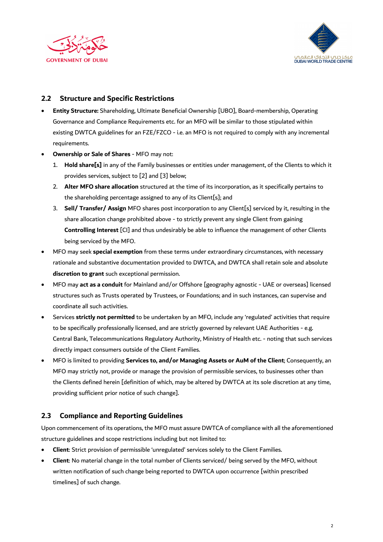



#### **2.2 Structure and Specific Restrictions**

- **Entity Structure:** Shareholding, Ultimate Beneficial Ownership [UBO], Board-membership, Operating Governance and Compliance Requirements etc. for an MFO will be similar to those stipulated within existing DWTCA guidelines for an FZE/FZCO - i.e. an MFO is not required to comply with any incremental requirements.
- **Ownership or Sale of Shares** MFO may not:
	- 1. **Hold share[s]** in any of the Family businesses or entities under management, of the Clients to which it provides services, subject to [2] and [3] below;
	- 2. **Alter MFO share allocation** structured at the time of its incorporation, as it specifically pertains to the shareholding percentage assigned to any of its Client[s]; and
	- 3. **Sell/ Transfer/ Assign** MFO shares post incorporation to any Client[s] serviced by it, resulting in the share allocation change prohibited above - to strictly prevent any single Client from gaining **Controlling Interest** [CI] and thus undesirably be able to influence the management of other Clients being serviced by the MFO.
- MFO may seek **special exemption** from these terms under extraordinary circumstances, with necessary rationale and substantive documentation provided to DWTCA, and DWTCA shall retain sole and absolute **discretion to grant** such exceptional permission.
- MFO may **act as a conduit** for Mainland and/or Offshore [geography agnostic UAE or overseas] licensed structures such as Trusts operated by Trustees, or Foundations; and in such instances, can supervise and coordinate all such activities.
- Services **strictly not permitted** to be undertaken by an MFO, include any 'regulated' activities that require to be specifically professionally licensed, and are strictly governed by relevant UAE Authorities - e.g. Central Bank, Telecommunications Regulatory Authority, Ministry of Health etc. - noting that such services directly impact consumers outside of the Client Families.
- MFO is limited to providing **Services to, and/or Managing Assets or AuM of the Client**; Consequently, an MFO may strictly not, provide or manage the provision of permissible services, to businesses other than the Clients defined herein [definition of which, may be altered by DWTCA at its sole discretion at any time, providing sufficient prior notice of such change].

#### **2.3 Compliance and Reporting Guidelines**

Upon commencement of its operations, the MFO must assure DWTCA of compliance with all the aforementioned structure guidelines and scope restrictions including but not limited to:

- **Client**: Strict provision of permissible 'unregulated' services solely to the Client Families.
- **Client**: No material change in the total number of Clients serviced/ being served by the MFO, without written notification of such change being reported to DWTCA upon occurrence [within prescribed timelines] of such change.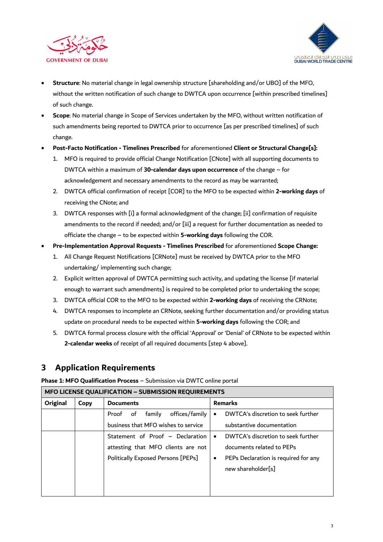



- **Structure**: No material change in legal ownership structure [shareholding and/or UBO] of the MFO, without the written notification of such change to DWTCA upon occurrence [within prescribed timelines] of such change.
- **Scope**: No material change in Scope of Services undertaken by the MFO, without written notification of such amendments being reported to DWTCA prior to occurrence [as per prescribed timelines] of such change.
- **Post-Facto Notification - Timelines Prescribed** for aforementioned **Client or Structural Change[s]:** 
	- 1. MFO is required to provide official Change Notification [CNote] with all supporting documents to DWTCA within a maximum of **30-calendar days upon occurrence** of the change – for acknowledgement and necessary amendments to the record as may be warranted;
	- 2. DWTCA official confirmation of receipt [COR] to the MFO to be expected within **2-working days** of receiving the CNote; and
	- 3. DWTCA responses with [i] a formal acknowledgment of the change; [ii] confirmation of requisite amendments to the record if needed; and/or [iii] a request for further documentation as needed to officiate the change – to be expected within **5-working days** following the COR.
- **Pre-Implementation Approval Requests - Timelines Prescribed** for aforementioned **Scope Change:**
	- 1. All Change Request Notifications [CRNote] must be received by DWTCA prior to the MFO undertaking/ implementing such change;
	- 2. Explicit written approval of DWTCA permitting such activity, and updating the license [if material enough to warrant such amendments] is required to be completed prior to undertaking the scope;
	- 3. DWTCA official COR to the MFO to be expected within **2-working days** of receiving the CRNote;
	- 4. DWTCA responses to incomplete an CRNote, seeking further documentation and/or providing status update on procedural needs to be expected within **5-working days** following the COR; and
	- 5. DWTCA formal process closure with the official 'Approval' or 'Denial' of CRNote to be expected within **2-calendar weeks** of receipt of all required documents [step 4 above].

## **3 Application Requirements**

**Phase 1: MFO Qualification Process** – Submission via DWTC online portal

| <b>MFO LICENSE QUALIFICATION - SUBMISSION REQUIREMENTS</b> |      |                                      |           |                                      |  |  |
|------------------------------------------------------------|------|--------------------------------------|-----------|--------------------------------------|--|--|
| Original                                                   | Copy | <b>Documents</b>                     |           | <b>Remarks</b>                       |  |  |
|                                                            |      | offices/family<br>family<br>Proof of | $\bullet$ | DWTCA's discretion to seek further   |  |  |
|                                                            |      | business that MFO wishes to service  |           | substantive documentation            |  |  |
|                                                            |      | Statement of Proof - Declaration     | $\bullet$ | DWTCA's discretion to seek further   |  |  |
|                                                            |      | attesting that MFO clients are not   |           | documents related to PEPs            |  |  |
|                                                            |      | Politically Exposed Persons [PEPs]   | $\bullet$ | PEPs Declaration is required for any |  |  |
|                                                            |      |                                      |           | new shareholder[s]                   |  |  |
|                                                            |      |                                      |           |                                      |  |  |
|                                                            |      |                                      |           |                                      |  |  |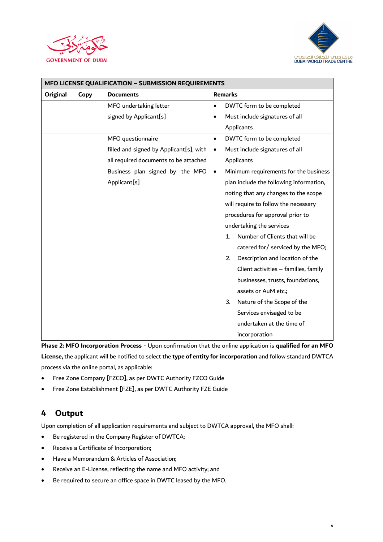



| MFO LICENSE QUALIFICATION - SUBMISSION REQUIREMENTS |      |                                         |                |                                           |  |  |  |  |
|-----------------------------------------------------|------|-----------------------------------------|----------------|-------------------------------------------|--|--|--|--|
| Original                                            | Copy | <b>Documents</b>                        | <b>Remarks</b> |                                           |  |  |  |  |
|                                                     |      | MFO undertaking letter                  | $\bullet$      | DWTC form to be completed                 |  |  |  |  |
|                                                     |      | signed by Applicant[s]                  | $\bullet$      | Must include signatures of all            |  |  |  |  |
|                                                     |      |                                         |                | Applicants                                |  |  |  |  |
|                                                     |      | MFO questionnaire                       | $\bullet$      | DWTC form to be completed                 |  |  |  |  |
|                                                     |      | filled and signed by Applicant[s], with | $\bullet$      | Must include signatures of all            |  |  |  |  |
|                                                     |      | all required documents to be attached   |                | Applicants                                |  |  |  |  |
|                                                     |      | Business plan signed by the MFO         | $\bullet$      | Minimum requirements for the business     |  |  |  |  |
|                                                     |      | Applicant[s]                            |                | plan include the following information,   |  |  |  |  |
|                                                     |      |                                         |                | noting that any changes to the scope      |  |  |  |  |
|                                                     |      |                                         |                | will require to follow the necessary      |  |  |  |  |
|                                                     |      |                                         |                | procedures for approval prior to          |  |  |  |  |
|                                                     |      |                                         |                | undertaking the services                  |  |  |  |  |
|                                                     |      |                                         |                | Number of Clients that will be<br>$1_{-}$ |  |  |  |  |
|                                                     |      |                                         |                | catered for/ serviced by the MFO;         |  |  |  |  |
|                                                     |      |                                         |                | Description and location of the<br>2.     |  |  |  |  |
|                                                     |      |                                         |                | Client activities - families, family      |  |  |  |  |
|                                                     |      |                                         |                | businesses, trusts, foundations,          |  |  |  |  |
|                                                     |      |                                         |                | assets or AuM etc.;                       |  |  |  |  |
|                                                     |      |                                         |                | Nature of the Scope of the<br>3.          |  |  |  |  |
|                                                     |      |                                         |                | Services envisaged to be                  |  |  |  |  |
|                                                     |      |                                         |                | undertaken at the time of                 |  |  |  |  |
|                                                     |      |                                         |                | incorporation                             |  |  |  |  |

**Phase 2: MFO Incorporation Process** - Upon confirmation that the online application is **qualified for an MFO License,** the applicant will be notified to select the **type of entity for incorporation** and follow standard DWTCA process via the online portal, as applicable:

- Free Zone Company [FZCO], as per DWTC Authority FZCO Guide
- Free Zone Establishment [FZE], as per DWTC Authority FZE Guide

# **4 Output**

Upon completion of all application requirements and subject to DWTCA approval, the MFO shall:

- Be registered in the Company Register of DWTCA;
- Receive a Certificate of Incorporation;
- Have a Memorandum & Articles of Association;
- Receive an E-License, reflecting the name and MFO activity; and
- Be required to secure an office space in DWTC leased by the MFO.